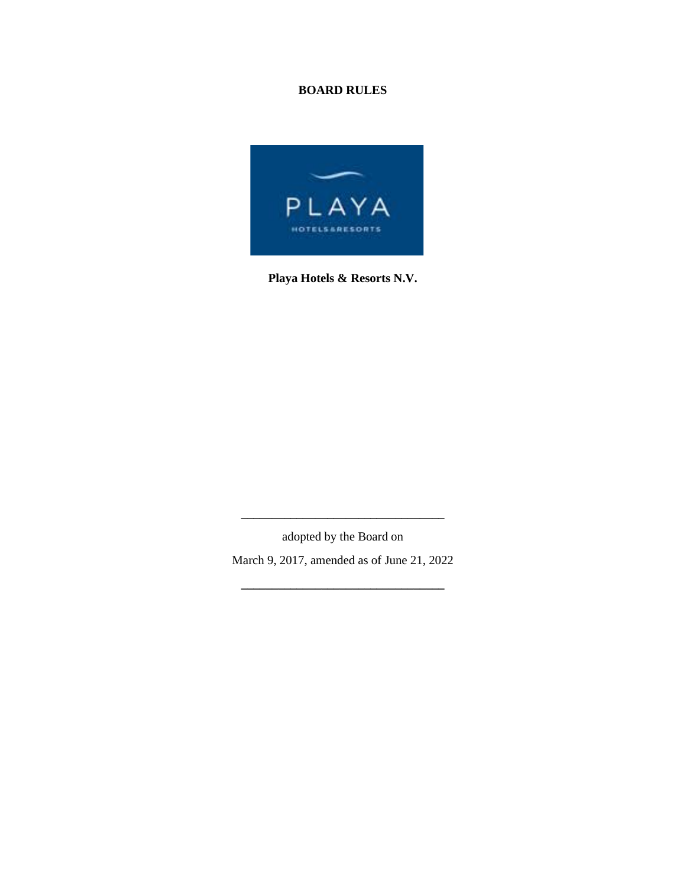# **BOARD RULES**



**Playa Hotels & Resorts N.V.**

adopted by the Board on March 9, 2017, amended as of June 21, 2022

**\_\_\_\_\_\_\_\_\_\_\_\_\_\_\_\_\_\_\_\_\_\_\_\_\_\_\_\_\_\_\_\_\_**

**\_\_\_\_\_\_\_\_\_\_\_\_\_\_\_\_\_\_\_\_\_\_\_\_\_\_\_\_\_\_\_\_\_**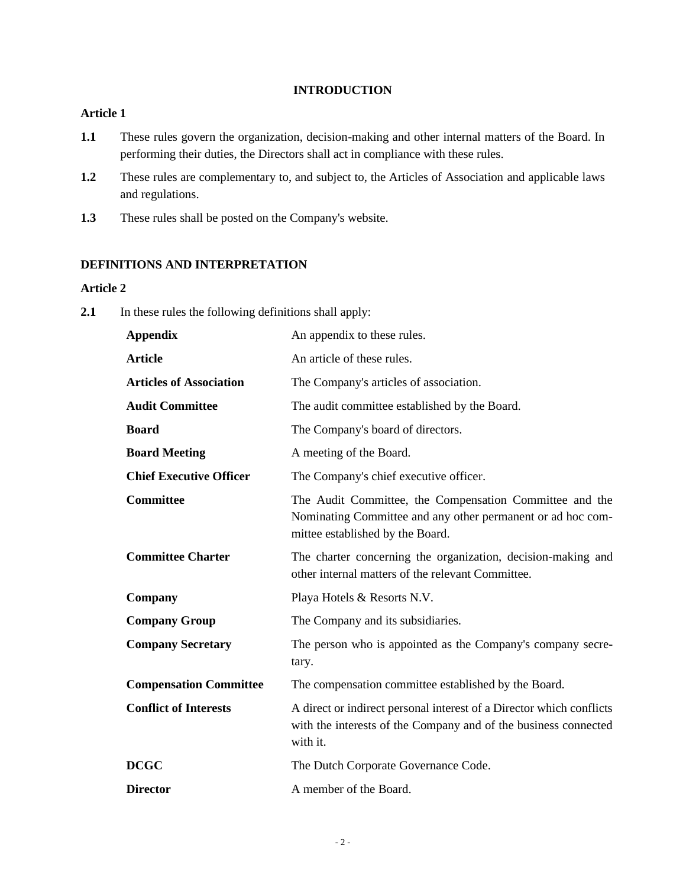#### **INTRODUCTION**

### **Article 1**

- **1.1** These rules govern the organization, decision-making and other internal matters of the Board. In performing their duties, the Directors shall act in compliance with these rules.
- **1.2** These rules are complementary to, and subject to, the Articles of Association and applicable laws and regulations.
- **1.3** These rules shall be posted on the Company's website.

### **DEFINITIONS AND INTERPRETATION**

### **Article 2**

**2.1** In these rules the following definitions shall apply:

| <b>Appendix</b>                | An appendix to these rules.                                                                                                                                |
|--------------------------------|------------------------------------------------------------------------------------------------------------------------------------------------------------|
| <b>Article</b>                 | An article of these rules.                                                                                                                                 |
| <b>Articles of Association</b> | The Company's articles of association.                                                                                                                     |
| <b>Audit Committee</b>         | The audit committee established by the Board.                                                                                                              |
| <b>Board</b>                   | The Company's board of directors.                                                                                                                          |
| <b>Board Meeting</b>           | A meeting of the Board.                                                                                                                                    |
| <b>Chief Executive Officer</b> | The Company's chief executive officer.                                                                                                                     |
| <b>Committee</b>               | The Audit Committee, the Compensation Committee and the<br>Nominating Committee and any other permanent or ad hoc com-<br>mittee established by the Board. |
| <b>Committee Charter</b>       | The charter concerning the organization, decision-making and<br>other internal matters of the relevant Committee.                                          |
| Company                        | Playa Hotels & Resorts N.V.                                                                                                                                |
| <b>Company Group</b>           | The Company and its subsidiaries.                                                                                                                          |
| <b>Company Secretary</b>       | The person who is appointed as the Company's company secre-<br>tary.                                                                                       |
| <b>Compensation Committee</b>  | The compensation committee established by the Board.                                                                                                       |
| <b>Conflict of Interests</b>   | A direct or indirect personal interest of a Director which conflicts<br>with the interests of the Company and of the business connected<br>with it.        |
| <b>DCGC</b>                    | The Dutch Corporate Governance Code.                                                                                                                       |
| <b>Director</b>                | A member of the Board.                                                                                                                                     |
|                                |                                                                                                                                                            |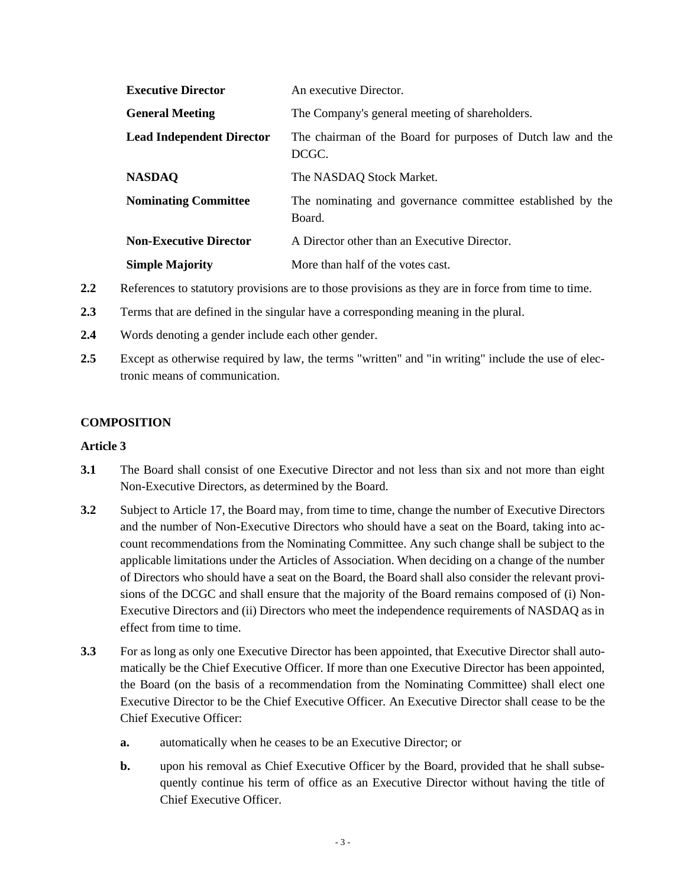| <b>Executive Director</b>        | An executive Director.                                               |
|----------------------------------|----------------------------------------------------------------------|
| <b>General Meeting</b>           | The Company's general meeting of shareholders.                       |
| <b>Lead Independent Director</b> | The chairman of the Board for purposes of Dutch law and the<br>DCGC. |
| <b>NASDAQ</b>                    | The NASDAQ Stock Market.                                             |
| <b>Nominating Committee</b>      | The nominating and governance committee established by the<br>Board. |
| <b>Non-Executive Director</b>    | A Director other than an Executive Director.                         |
| <b>Simple Majority</b>           | More than half of the votes cast.                                    |

- **2.2** References to statutory provisions are to those provisions as they are in force from time to time.
- **2.3** Terms that are defined in the singular have a corresponding meaning in the plural.
- **2.4** Words denoting a gender include each other gender.
- **2.5** Except as otherwise required by law, the terms "written" and "in writing" include the use of electronic means of communication.

### **COMPOSITION**

- **3.1** The Board shall consist of one Executive Director and not less than six and not more than eight Non-Executive Directors, as determined by the Board.
- **3.2** Subject to [Article 17,](#page-13-0) the Board may, from time to time, change the number of Executive Directors and the number of Non-Executive Directors who should have a seat on the Board, taking into account recommendations from the Nominating Committee. Any such change shall be subject to the applicable limitations under the Articles of Association. When deciding on a change of the number of Directors who should have a seat on the Board, the Board shall also consider the relevant provisions of the DCGC and shall ensure that the majority of the Board remains composed of (i) Non-Executive Directors and (ii) Directors who meet the independence requirements of NASDAQ as in effect from time to time.
- **3.3** For as long as only one Executive Director has been appointed, that Executive Director shall automatically be the Chief Executive Officer. If more than one Executive Director has been appointed, the Board (on the basis of a recommendation from the Nominating Committee) shall elect one Executive Director to be the Chief Executive Officer. An Executive Director shall cease to be the Chief Executive Officer:
	- **a.** automatically when he ceases to be an Executive Director; or
	- **b.** upon his removal as Chief Executive Officer by the Board, provided that he shall subsequently continue his term of office as an Executive Director without having the title of Chief Executive Officer.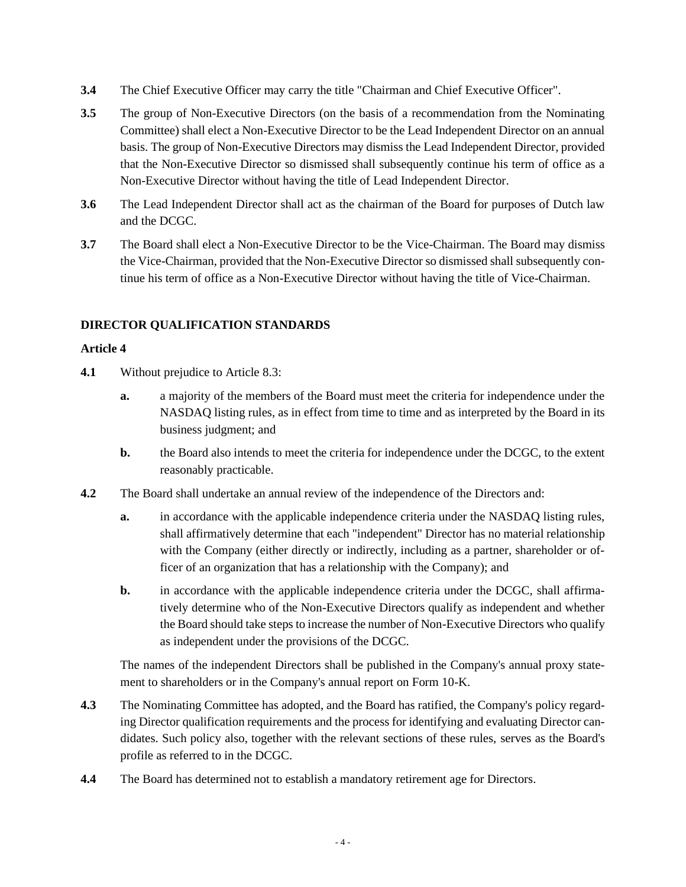- **3.4** The Chief Executive Officer may carry the title "Chairman and Chief Executive Officer".
- **3.5** The group of Non-Executive Directors (on the basis of a recommendation from the Nominating Committee) shall elect a Non-Executive Director to be the Lead Independent Director on an annual basis. The group of Non-Executive Directors may dismiss the Lead Independent Director, provided that the Non-Executive Director so dismissed shall subsequently continue his term of office as a Non-Executive Director without having the title of Lead Independent Director.
- **3.6** The Lead Independent Director shall act as the chairman of the Board for purposes of Dutch law and the DCGC.
- **3.7** The Board shall elect a Non-Executive Director to be the Vice-Chairman. The Board may dismiss the Vice-Chairman, provided that the Non-Executive Director so dismissed shall subsequently continue his term of office as a Non-Executive Director without having the title of Vice-Chairman.

### **DIRECTOR QUALIFICATION STANDARDS**

### **Article 4**

- **4.1** Without prejudice to Article [8.3:](#page-8-0)
	- **a.** a majority of the members of the Board must meet the criteria for independence under the NASDAQ listing rules, as in effect from time to time and as interpreted by the Board in its business judgment; and
	- **b.** the Board also intends to meet the criteria for independence under the DCGC, to the extent reasonably practicable.
- **4.2** The Board shall undertake an annual review of the independence of the Directors and:
	- **a.** in accordance with the applicable independence criteria under the NASDAQ listing rules, shall affirmatively determine that each "independent" Director has no material relationship with the Company (either directly or indirectly, including as a partner, shareholder or officer of an organization that has a relationship with the Company); and
	- **b.** in accordance with the applicable independence criteria under the DCGC, shall affirmatively determine who of the Non-Executive Directors qualify as independent and whether the Board should take steps to increase the number of Non-Executive Directors who qualify as independent under the provisions of the DCGC.

The names of the independent Directors shall be published in the Company's annual proxy statement to shareholders or in the Company's annual report on Form 10-K.

- **4.3** The Nominating Committee has adopted, and the Board has ratified, the Company's policy regarding Director qualification requirements and the process for identifying and evaluating Director candidates. Such policy also, together with the relevant sections of these rules, serves as the Board's profile as referred to in the DCGC.
- **4.4** The Board has determined not to establish a mandatory retirement age for Directors.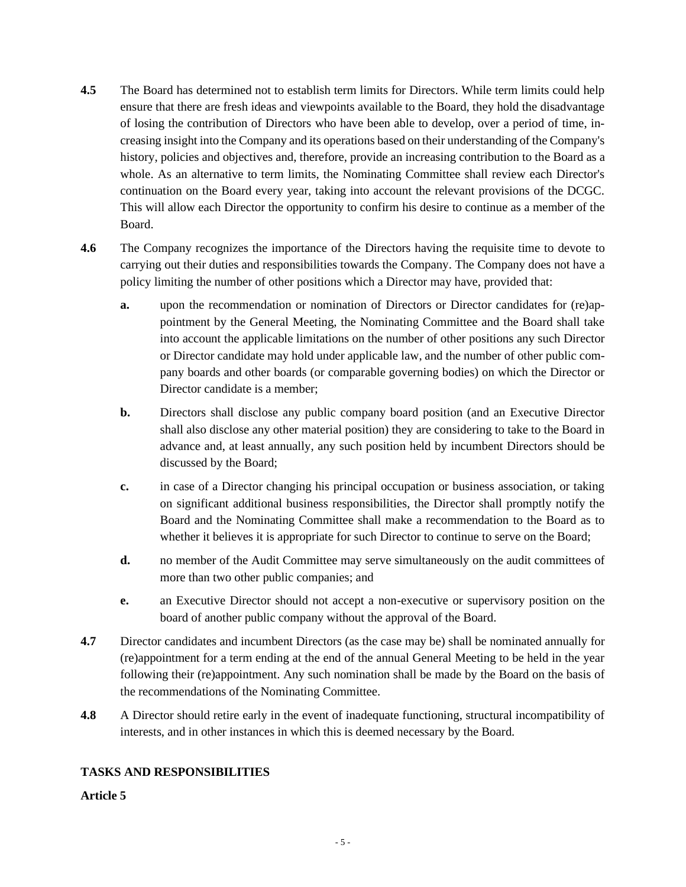- **4.5** The Board has determined not to establish term limits for Directors. While term limits could help ensure that there are fresh ideas and viewpoints available to the Board, they hold the disadvantage of losing the contribution of Directors who have been able to develop, over a period of time, increasing insight into the Company and its operations based on their understanding of the Company's history, policies and objectives and, therefore, provide an increasing contribution to the Board as a whole. As an alternative to term limits, the Nominating Committee shall review each Director's continuation on the Board every year, taking into account the relevant provisions of the DCGC. This will allow each Director the opportunity to confirm his desire to continue as a member of the Board.
- **4.6** The Company recognizes the importance of the Directors having the requisite time to devote to carrying out their duties and responsibilities towards the Company. The Company does not have a policy limiting the number of other positions which a Director may have, provided that:
	- **a.** upon the recommendation or nomination of Directors or Director candidates for (re)appointment by the General Meeting, the Nominating Committee and the Board shall take into account the applicable limitations on the number of other positions any such Director or Director candidate may hold under applicable law, and the number of other public company boards and other boards (or comparable governing bodies) on which the Director or Director candidate is a member;
	- **b.** Directors shall disclose any public company board position (and an Executive Director shall also disclose any other material position) they are considering to take to the Board in advance and, at least annually, any such position held by incumbent Directors should be discussed by the Board;
	- **c.** in case of a Director changing his principal occupation or business association, or taking on significant additional business responsibilities, the Director shall promptly notify the Board and the Nominating Committee shall make a recommendation to the Board as to whether it believes it is appropriate for such Director to continue to serve on the Board;
	- **d.** no member of the Audit Committee may serve simultaneously on the audit committees of more than two other public companies; and
	- **e.** an Executive Director should not accept a non-executive or supervisory position on the board of another public company without the approval of the Board.
- **4.7** Director candidates and incumbent Directors (as the case may be) shall be nominated annually for (re)appointment for a term ending at the end of the annual General Meeting to be held in the year following their (re)appointment. Any such nomination shall be made by the Board on the basis of the recommendations of the Nominating Committee.
- **4.8** A Director should retire early in the event of inadequate functioning, structural incompatibility of interests, and in other instances in which this is deemed necessary by the Board.

# **TASKS AND RESPONSIBILITIES**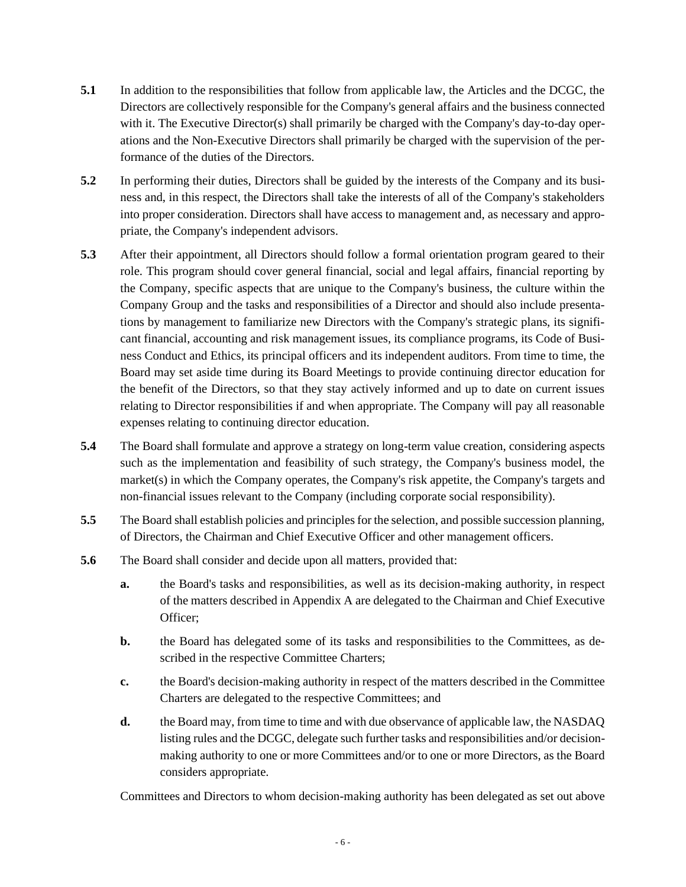- **5.1** In addition to the responsibilities that follow from applicable law, the Articles and the DCGC, the Directors are collectively responsible for the Company's general affairs and the business connected with it. The Executive Director(s) shall primarily be charged with the Company's day-to-day operations and the Non-Executive Directors shall primarily be charged with the supervision of the performance of the duties of the Directors.
- **5.2** In performing their duties, Directors shall be guided by the interests of the Company and its business and, in this respect, the Directors shall take the interests of all of the Company's stakeholders into proper consideration. Directors shall have access to management and, as necessary and appropriate, the Company's independent advisors.
- <span id="page-5-0"></span>**5.3** After their appointment, all Directors should follow a formal orientation program geared to their role. This program should cover general financial, social and legal affairs, financial reporting by the Company, specific aspects that are unique to the Company's business, the culture within the Company Group and the tasks and responsibilities of a Director and should also include presentations by management to familiarize new Directors with the Company's strategic plans, its significant financial, accounting and risk management issues, its compliance programs, its Code of Business Conduct and Ethics, its principal officers and its independent auditors. From time to time, the Board may set aside time during its Board Meetings to provide continuing director education for the benefit of the Directors, so that they stay actively informed and up to date on current issues relating to Director responsibilities if and when appropriate. The Company will pay all reasonable expenses relating to continuing director education.
- **5.4** The Board shall formulate and approve a strategy on long-term value creation, considering aspects such as the implementation and feasibility of such strategy, the Company's business model, the market(s) in which the Company operates, the Company's risk appetite, the Company's targets and non-financial issues relevant to the Company (including corporate social responsibility).
- **5.5** The Board shall establish policies and principles for the selection, and possible succession planning, of Directors, the Chairman and Chief Executive Officer and other management officers.
- <span id="page-5-1"></span>**5.6** The Board shall consider and decide upon all matters, provided that:
	- **a.** the Board's tasks and responsibilities, as well as its decision-making authority, in respect of the matters described in Appendix A are delegated to the Chairman and Chief Executive Officer;
	- **b.** the Board has delegated some of its tasks and responsibilities to the Committees, as described in the respective Committee Charters;
	- **c.** the Board's decision-making authority in respect of the matters described in the Committee Charters are delegated to the respective Committees; and
	- **d.** the Board may, from time to time and with due observance of applicable law, the NASDAQ listing rules and the DCGC, delegate such further tasks and responsibilities and/or decisionmaking authority to one or more Committees and/or to one or more Directors, as the Board considers appropriate.

Committees and Directors to whom decision-making authority has been delegated as set out above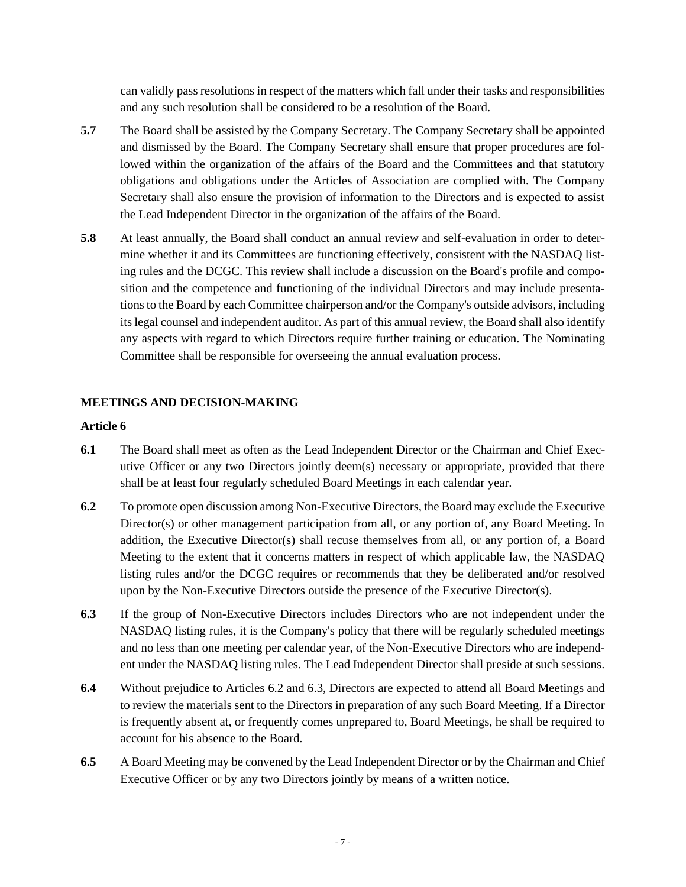can validly pass resolutions in respect of the matters which fall under their tasks and responsibilities and any such resolution shall be considered to be a resolution of the Board.

- **5.7** The Board shall be assisted by the Company Secretary. The Company Secretary shall be appointed and dismissed by the Board. The Company Secretary shall ensure that proper procedures are followed within the organization of the affairs of the Board and the Committees and that statutory obligations and obligations under the Articles of Association are complied with. The Company Secretary shall also ensure the provision of information to the Directors and is expected to assist the Lead Independent Director in the organization of the affairs of the Board.
- <span id="page-6-3"></span>**5.8** At least annually, the Board shall conduct an annual review and self-evaluation in order to determine whether it and its Committees are functioning effectively, consistent with the NASDAQ listing rules and the DCGC. This review shall include a discussion on the Board's profile and composition and the competence and functioning of the individual Directors and may include presentations to the Board by each Committee chairperson and/or the Company's outside advisors, including its legal counsel and independent auditor. As part of this annual review, the Board shall also identify any aspects with regard to which Directors require further training or education. The Nominating Committee shall be responsible for overseeing the annual evaluation process.

### **MEETINGS AND DECISION-MAKING**

- **6.1** The Board shall meet as often as the Lead Independent Director or the Chairman and Chief Executive Officer or any two Directors jointly deem(s) necessary or appropriate, provided that there shall be at least four regularly scheduled Board Meetings in each calendar year.
- <span id="page-6-0"></span>**6.2** To promote open discussion among Non-Executive Directors, the Board may exclude the Executive Director(s) or other management participation from all, or any portion of, any Board Meeting. In addition, the Executive Director(s) shall recuse themselves from all, or any portion of, a Board Meeting to the extent that it concerns matters in respect of which applicable law, the NASDAQ listing rules and/or the DCGC requires or recommends that they be deliberated and/or resolved upon by the Non-Executive Directors outside the presence of the Executive Director(s).
- <span id="page-6-1"></span>**6.3** If the group of Non-Executive Directors includes Directors who are not independent under the NASDAQ listing rules, it is the Company's policy that there will be regularly scheduled meetings and no less than one meeting per calendar year, of the Non-Executive Directors who are independent under the NASDAQ listing rules. The Lead Independent Director shall preside at such sessions.
- **6.4** Without prejudice to Articles [6.2](#page-6-0) and [6.3,](#page-6-1) Directors are expected to attend all Board Meetings and to review the materials sent to the Directors in preparation of any such Board Meeting. If a Director is frequently absent at, or frequently comes unprepared to, Board Meetings, he shall be required to account for his absence to the Board.
- <span id="page-6-2"></span>**6.5** A Board Meeting may be convened by the Lead Independent Director or by the Chairman and Chief Executive Officer or by any two Directors jointly by means of a written notice.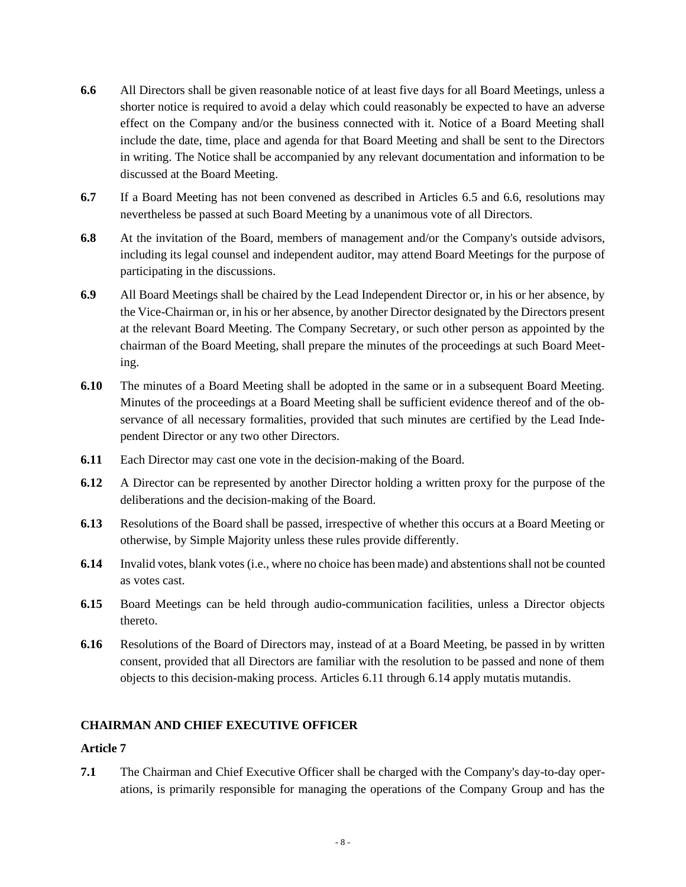- <span id="page-7-0"></span>**6.6** All Directors shall be given reasonable notice of at least five days for all Board Meetings, unless a shorter notice is required to avoid a delay which could reasonably be expected to have an adverse effect on the Company and/or the business connected with it. Notice of a Board Meeting shall include the date, time, place and agenda for that Board Meeting and shall be sent to the Directors in writing. The Notice shall be accompanied by any relevant documentation and information to be discussed at the Board Meeting.
- **6.7** If a Board Meeting has not been convened as described in Articles [6.5](#page-6-2) and [6.6,](#page-7-0) resolutions may nevertheless be passed at such Board Meeting by a unanimous vote of all Directors.
- **6.8** At the invitation of the Board, members of management and/or the Company's outside advisors, including its legal counsel and independent auditor, may attend Board Meetings for the purpose of participating in the discussions.
- **6.9** All Board Meetings shall be chaired by the Lead Independent Director or, in his or her absence, by the Vice-Chairman or, in his or her absence, by another Director designated by the Directors present at the relevant Board Meeting. The Company Secretary, or such other person as appointed by the chairman of the Board Meeting, shall prepare the minutes of the proceedings at such Board Meeting.
- **6.10** The minutes of a Board Meeting shall be adopted in the same or in a subsequent Board Meeting. Minutes of the proceedings at a Board Meeting shall be sufficient evidence thereof and of the observance of all necessary formalities, provided that such minutes are certified by the Lead Independent Director or any two other Directors.
- <span id="page-7-1"></span>**6.11** Each Director may cast one vote in the decision-making of the Board.
- **6.12** A Director can be represented by another Director holding a written proxy for the purpose of the deliberations and the decision-making of the Board.
- **6.13** Resolutions of the Board shall be passed, irrespective of whether this occurs at a Board Meeting or otherwise, by Simple Majority unless these rules provide differently.
- <span id="page-7-2"></span>**6.14** Invalid votes, blank votes (i.e., where no choice has been made) and abstentions shall not be counted as votes cast.
- **6.15** Board Meetings can be held through audio-communication facilities, unless a Director objects thereto.
- **6.16** Resolutions of the Board of Directors may, instead of at a Board Meeting, be passed in by written consent, provided that all Directors are familiar with the resolution to be passed and none of them objects to this decision-making process. Articles [6.11](#page-7-1) through [6.14](#page-7-2) apply mutatis mutandis.

# **CHAIRMAN AND CHIEF EXECUTIVE OFFICER**

# **Article 7**

**7.1** The Chairman and Chief Executive Officer shall be charged with the Company's day-to-day operations, is primarily responsible for managing the operations of the Company Group and has the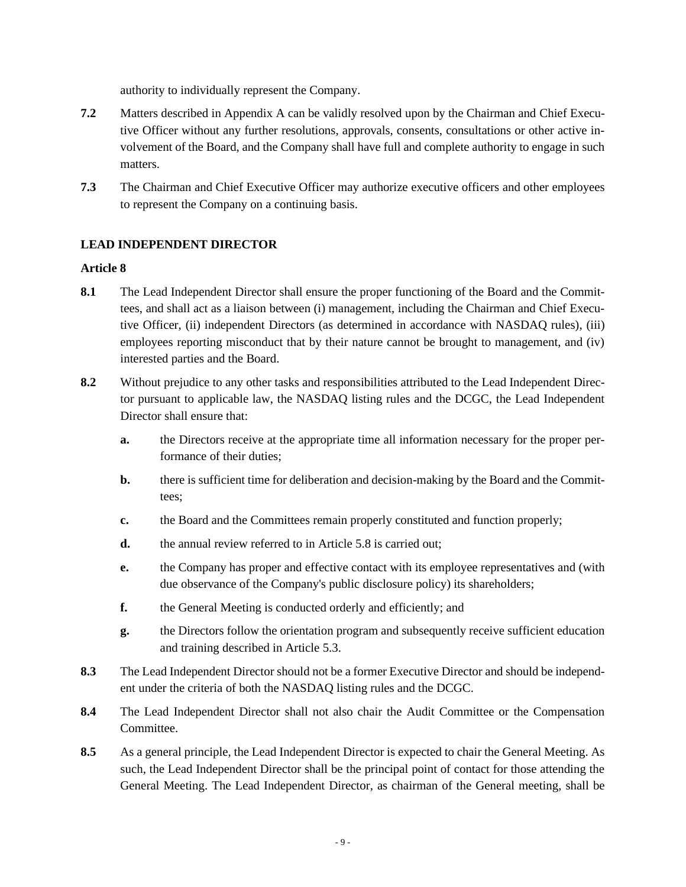authority to individually represent the Company.

- **7.2** Matters described in Appendix A can be validly resolved upon by the Chairman and Chief Executive Officer without any further resolutions, approvals, consents, consultations or other active involvement of the Board, and the Company shall have full and complete authority to engage in such matters.
- **7.3** The Chairman and Chief Executive Officer may authorize executive officers and other employees to represent the Company on a continuing basis.

# **LEAD INDEPENDENT DIRECTOR**

- **8.1** The Lead Independent Director shall ensure the proper functioning of the Board and the Committees, and shall act as a liaison between (i) management, including the Chairman and Chief Executive Officer, (ii) independent Directors (as determined in accordance with NASDAQ rules), (iii) employees reporting misconduct that by their nature cannot be brought to management, and (iv) interested parties and the Board.
- 8.2 Without prejudice to any other tasks and responsibilities attributed to the Lead Independent Director pursuant to applicable law, the NASDAQ listing rules and the DCGC, the Lead Independent Director shall ensure that:
	- **a.** the Directors receive at the appropriate time all information necessary for the proper performance of their duties;
	- **b.** there is sufficient time for deliberation and decision-making by the Board and the Committees;
	- **c.** the Board and the Committees remain properly constituted and function properly;
	- **d.** the annual review referred to in Article [5.8](#page-6-3) is carried out;
	- **e.** the Company has proper and effective contact with its employee representatives and (with due observance of the Company's public disclosure policy) its shareholders;
	- **f.** the General Meeting is conducted orderly and efficiently; and
	- **g.** the Directors follow the orientation program and subsequently receive sufficient education and training described in Article [5.3.](#page-5-0)
- <span id="page-8-0"></span>**8.3** The Lead Independent Director should not be a former Executive Director and should be independent under the criteria of both the NASDAQ listing rules and the DCGC.
- **8.4** The Lead Independent Director shall not also chair the Audit Committee or the Compensation Committee.
- **8.5** As a general principle, the Lead Independent Director is expected to chair the General Meeting. As such, the Lead Independent Director shall be the principal point of contact for those attending the General Meeting. The Lead Independent Director, as chairman of the General meeting, shall be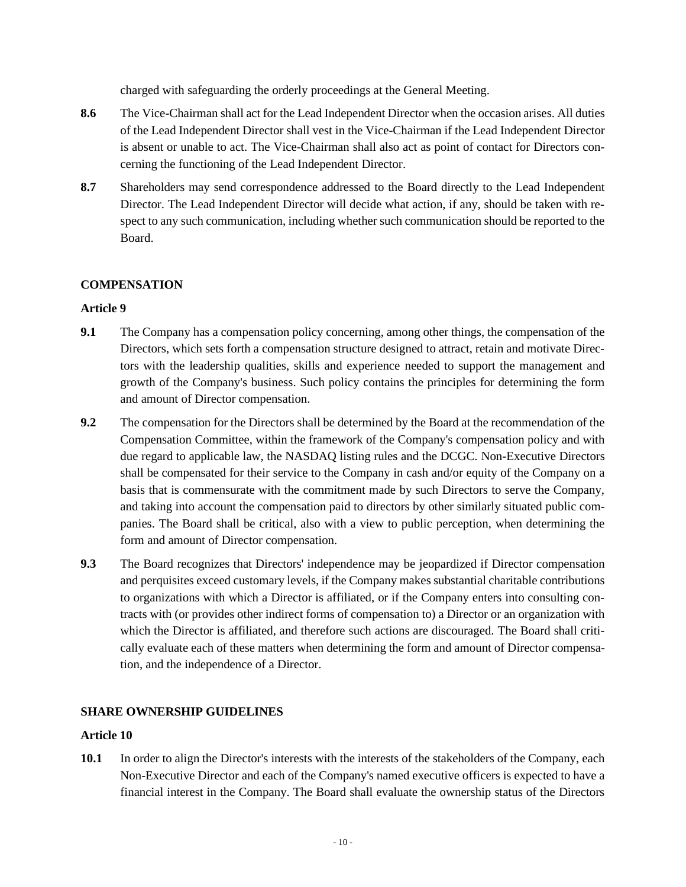charged with safeguarding the orderly proceedings at the General Meeting.

- **8.6** The Vice-Chairman shall act for the Lead Independent Director when the occasion arises. All duties of the Lead Independent Director shall vest in the Vice-Chairman if the Lead Independent Director is absent or unable to act. The Vice-Chairman shall also act as point of contact for Directors concerning the functioning of the Lead Independent Director.
- **8.7** Shareholders may send correspondence addressed to the Board directly to the Lead Independent Director. The Lead Independent Director will decide what action, if any, should be taken with respect to any such communication, including whether such communication should be reported to the Board.

# **COMPENSATION**

# **Article 9**

- **9.1** The Company has a compensation policy concerning, among other things, the compensation of the Directors, which sets forth a compensation structure designed to attract, retain and motivate Directors with the leadership qualities, skills and experience needed to support the management and growth of the Company's business. Such policy contains the principles for determining the form and amount of Director compensation.
- **9.2** The compensation for the Directors shall be determined by the Board at the recommendation of the Compensation Committee, within the framework of the Company's compensation policy and with due regard to applicable law, the NASDAQ listing rules and the DCGC. Non-Executive Directors shall be compensated for their service to the Company in cash and/or equity of the Company on a basis that is commensurate with the commitment made by such Directors to serve the Company, and taking into account the compensation paid to directors by other similarly situated public companies. The Board shall be critical, also with a view to public perception, when determining the form and amount of Director compensation.
- **9.3** The Board recognizes that Directors' independence may be jeopardized if Director compensation and perquisites exceed customary levels, if the Company makes substantial charitable contributions to organizations with which a Director is affiliated, or if the Company enters into consulting contracts with (or provides other indirect forms of compensation to) a Director or an organization with which the Director is affiliated, and therefore such actions are discouraged. The Board shall critically evaluate each of these matters when determining the form and amount of Director compensation, and the independence of a Director.

# **SHARE OWNERSHIP GUIDELINES**

# **Article 10**

**10.1** In order to align the Director's interests with the interests of the stakeholders of the Company, each Non-Executive Director and each of the Company's named executive officers is expected to have a financial interest in the Company. The Board shall evaluate the ownership status of the Directors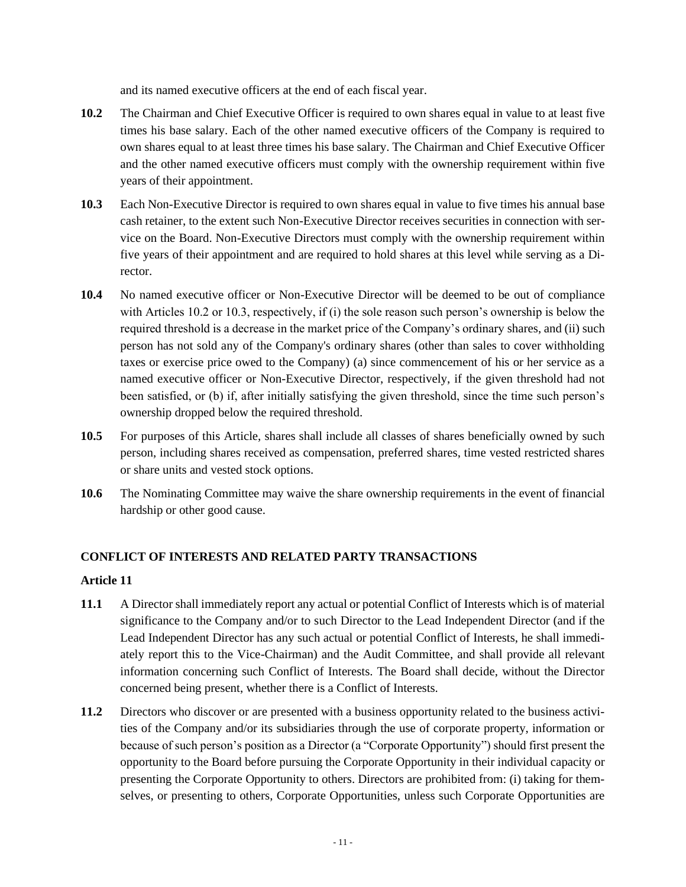and its named executive officers at the end of each fiscal year.

- **10.2** The Chairman and Chief Executive Officer is required to own shares equal in value to at least five times his base salary. Each of the other named executive officers of the Company is required to own shares equal to at least three times his base salary. The Chairman and Chief Executive Officer and the other named executive officers must comply with the ownership requirement within five years of their appointment.
- **10.3** Each Non-Executive Director is required to own shares equal in value to five times his annual base cash retainer, to the extent such Non-Executive Director receives securities in connection with service on the Board. Non-Executive Directors must comply with the ownership requirement within five years of their appointment and are required to hold shares at this level while serving as a Director.
- **10.4** No named executive officer or Non-Executive Director will be deemed to be out of compliance with Articles 10.2 or 10.3, respectively, if (i) the sole reason such person's ownership is below the required threshold is a decrease in the market price of the Company's ordinary shares, and (ii) such person has not sold any of the Company's ordinary shares (other than sales to cover withholding taxes or exercise price owed to the Company) (a) since commencement of his or her service as a named executive officer or Non-Executive Director, respectively, if the given threshold had not been satisfied, or (b) if, after initially satisfying the given threshold, since the time such person's ownership dropped below the required threshold.
- **10.5** For purposes of this Article, shares shall include all classes of shares beneficially owned by such person, including shares received as compensation, preferred shares, time vested restricted shares or share units and vested stock options.
- **10.6** The Nominating Committee may waive the share ownership requirements in the event of financial hardship or other good cause.

# **CONFLICT OF INTERESTS AND RELATED PARTY TRANSACTIONS**

- <span id="page-10-0"></span>**11.1** A Director shall immediately report any actual or potential Conflict of Interests which is of material significance to the Company and/or to such Director to the Lead Independent Director (and if the Lead Independent Director has any such actual or potential Conflict of Interests, he shall immediately report this to the Vice-Chairman) and the Audit Committee, and shall provide all relevant information concerning such Conflict of Interests. The Board shall decide, without the Director concerned being present, whether there is a Conflict of Interests.
- **11.2** Directors who discover or are presented with a business opportunity related to the business activities of the Company and/or its subsidiaries through the use of corporate property, information or because of such person's position as a Director (a "Corporate Opportunity") should first present the opportunity to the Board before pursuing the Corporate Opportunity in their individual capacity or presenting the Corporate Opportunity to others. Directors are prohibited from: (i) taking for themselves, or presenting to others, Corporate Opportunities, unless such Corporate Opportunities are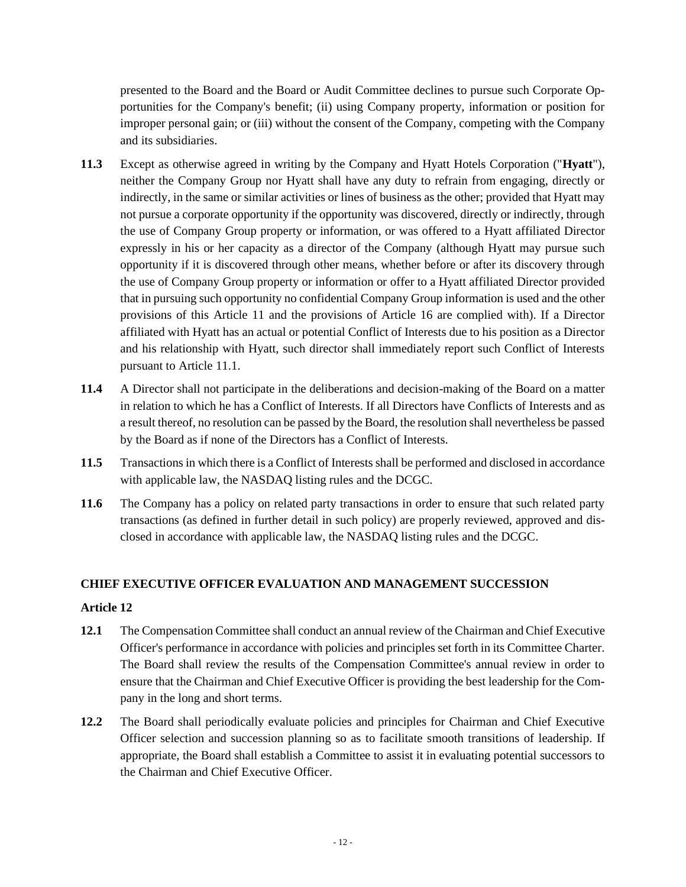presented to the Board and the Board or Audit Committee declines to pursue such Corporate Opportunities for the Company's benefit; (ii) using Company property, information or position for improper personal gain; or (iii) without the consent of the Company, competing with the Company and its subsidiaries.

- **11.3** Except as otherwise agreed in writing by the Company and Hyatt Hotels Corporation ("**Hyatt**"), neither the Company Group nor Hyatt shall have any duty to refrain from engaging, directly or indirectly, in the same or similar activities or lines of business as the other; provided that Hyatt may not pursue a corporate opportunity if the opportunity was discovered, directly or indirectly, through the use of Company Group property or information, or was offered to a Hyatt affiliated Director expressly in his or her capacity as a director of the Company (although Hyatt may pursue such opportunity if it is discovered through other means, whether before or after its discovery through the use of Company Group property or information or offer to a Hyatt affiliated Director provided that in pursuing such opportunity no confidential Company Group information is used and the other provisions of this Article 11 and the provisions of Article 16 are complied with). If a Director affiliated with Hyatt has an actual or potential Conflict of Interests due to his position as a Director and his relationship with Hyatt, such director shall immediately report such Conflict of Interests pursuant to Article [11.1.](#page-10-0)
- **11.4** A Director shall not participate in the deliberations and decision-making of the Board on a matter in relation to which he has a Conflict of Interests. If all Directors have Conflicts of Interests and as a result thereof, no resolution can be passed by the Board, the resolution shall nevertheless be passed by the Board as if none of the Directors has a Conflict of Interests.
- **11.5** Transactions in which there is a Conflict of Interests shall be performed and disclosed in accordance with applicable law, the NASDAQ listing rules and the DCGC.
- **11.6** The Company has a policy on related party transactions in order to ensure that such related party transactions (as defined in further detail in such policy) are properly reviewed, approved and disclosed in accordance with applicable law, the NASDAQ listing rules and the DCGC.

# **CHIEF EXECUTIVE OFFICER EVALUATION AND MANAGEMENT SUCCESSION**

- **12.1** The Compensation Committee shall conduct an annual review of the Chairman and Chief Executive Officer's performance in accordance with policies and principles set forth in its Committee Charter. The Board shall review the results of the Compensation Committee's annual review in order to ensure that the Chairman and Chief Executive Officer is providing the best leadership for the Company in the long and short terms.
- **12.2** The Board shall periodically evaluate policies and principles for Chairman and Chief Executive Officer selection and succession planning so as to facilitate smooth transitions of leadership. If appropriate, the Board shall establish a Committee to assist it in evaluating potential successors to the Chairman and Chief Executive Officer.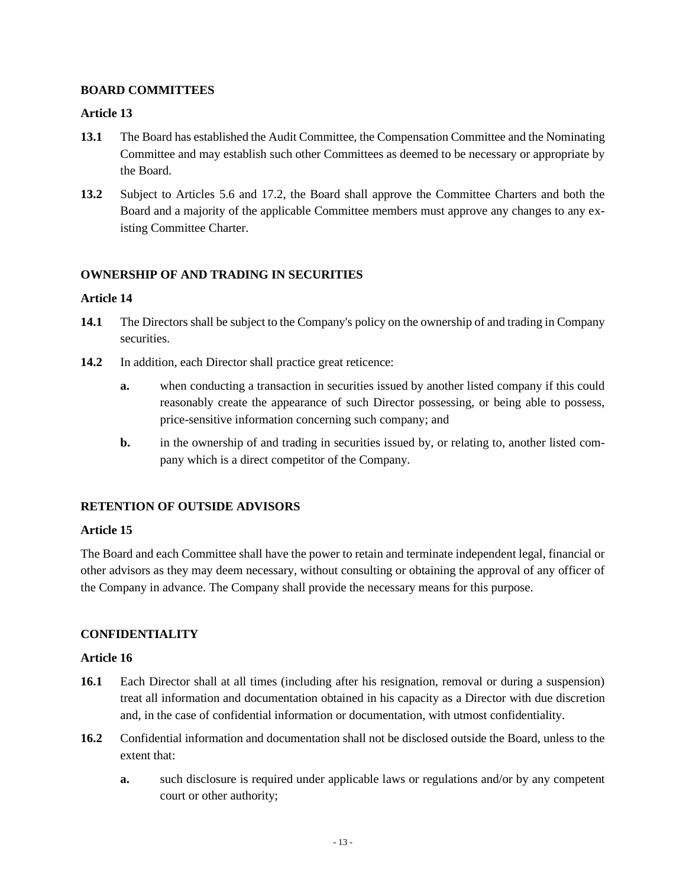### **BOARD COMMITTEES**

### **Article 13**

- **13.1** The Board has established the Audit Committee, the Compensation Committee and the Nominating Committee and may establish such other Committees as deemed to be necessary or appropriate by the Board.
- **13.2** Subject to Articles [5.6](#page-5-1) and [17.2,](#page-13-1) the Board shall approve the Committee Charters and both the Board and a majority of the applicable Committee members must approve any changes to any existing Committee Charter.

# **OWNERSHIP OF AND TRADING IN SECURITIES**

### **Article 14**

- **14.1** The Directors shall be subject to the Company's policy on the ownership of and trading in Company securities.
- 14.2 In addition, each Director shall practice great reticence:
	- **a.** when conducting a transaction in securities issued by another listed company if this could reasonably create the appearance of such Director possessing, or being able to possess, price-sensitive information concerning such company; and
	- **b.** in the ownership of and trading in securities issued by, or relating to, another listed company which is a direct competitor of the Company.

# **RETENTION OF OUTSIDE ADVISORS**

### **Article 15**

The Board and each Committee shall have the power to retain and terminate independent legal, financial or other advisors as they may deem necessary, without consulting or obtaining the approval of any officer of the Company in advance. The Company shall provide the necessary means for this purpose.

# **CONFIDENTIALITY**

- **16.1** Each Director shall at all times (including after his resignation, removal or during a suspension) treat all information and documentation obtained in his capacity as a Director with due discretion and, in the case of confidential information or documentation, with utmost confidentiality.
- **16.2** Confidential information and documentation shall not be disclosed outside the Board, unless to the extent that:
	- **a.** such disclosure is required under applicable laws or regulations and/or by any competent court or other authority;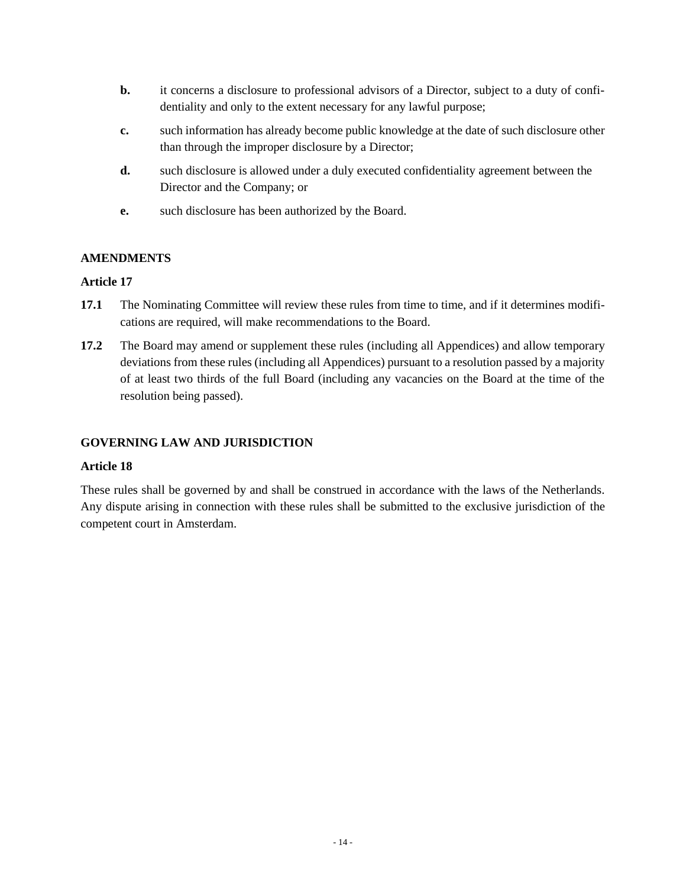- **b.** it concerns a disclosure to professional advisors of a Director, subject to a duty of confidentiality and only to the extent necessary for any lawful purpose;
- **c.** such information has already become public knowledge at the date of such disclosure other than through the improper disclosure by a Director;
- **d.** such disclosure is allowed under a duly executed confidentiality agreement between the Director and the Company; or
- **e.** such disclosure has been authorized by the Board.

# **AMENDMENTS**

### <span id="page-13-0"></span>**Article 17**

- **17.1** The Nominating Committee will review these rules from time to time, and if it determines modifications are required, will make recommendations to the Board.
- <span id="page-13-1"></span>**17.2** The Board may amend or supplement these rules (including all Appendices) and allow temporary deviations from these rules (including all Appendices) pursuant to a resolution passed by a majority of at least two thirds of the full Board (including any vacancies on the Board at the time of the resolution being passed).

# **GOVERNING LAW AND JURISDICTION**

### **Article 18**

These rules shall be governed by and shall be construed in accordance with the laws of the Netherlands. Any dispute arising in connection with these rules shall be submitted to the exclusive jurisdiction of the competent court in Amsterdam.